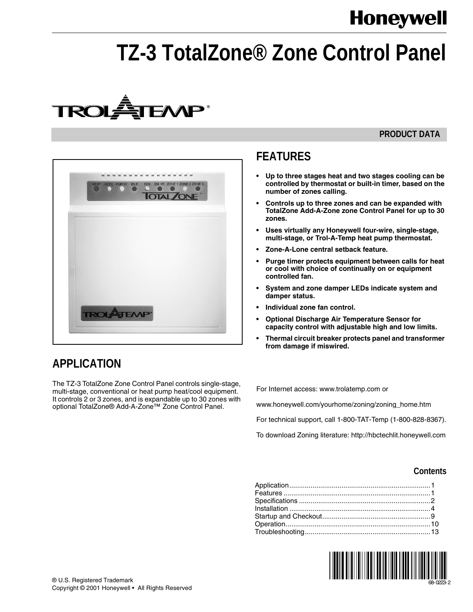# **Honeywell**

# **TZ-3 TotalZone® Zone Control Panel**



### **PRODUCT DATA**



# **APPLICATION**

The TZ-3 TotalZone Zone Control Panel controls single-stage, multi-stage, conventional or heat pump heat/cool equipment. It controls 2 or 3 zones, and is expandable up to 30 zones with optional TotalZone® Add-A-Zone™ Zone Control Panel.

# **FEATURES**

- **Up to three stages heat and two stages cooling can be controlled by thermostat or built-in timer, based on the number of zones calling.**
- **Controls up to three zones and can be expanded with TotalZone Add-A-Zone zone Control Panel for up to 30 zones.**
- **Uses virtually any Honeywell four-wire, single-stage, multi-stage, or Trol-A-Temp heat pump thermostat.**
- **Zone-A-Lone central setback feature.**
- **Purge timer protects equipment between calls for heat or cool with choice of continually on or equipment controlled fan.**
- **System and zone damper LEDs indicate system and damper status.**
- **Individual zone fan control.**
- **Optional Discharge Air Temperature Sensor for capacity control with adjustable high and low limits.**
- **Thermal circuit breaker protects panel and transformer from damage if miswired.**

For Internet access: www.trolatemp.com or

www.honeywell.com/yourhome/zoning/zoning\_home.htm

For technical support, call 1-800-TAT-Temp (1-800-828-8367).

To download Zoning literature: http://hbctechlit.honeywell.com

### **Contents**

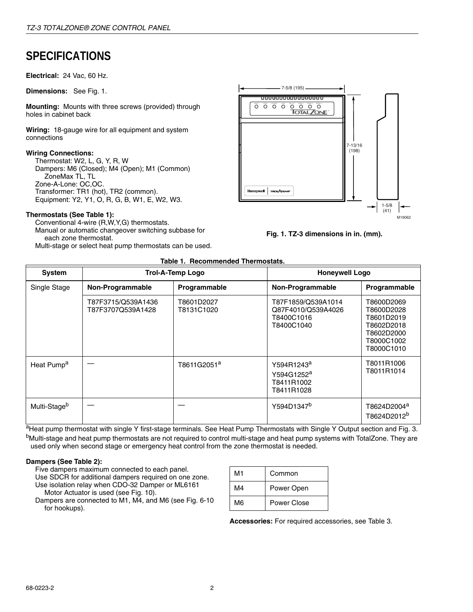# **SPECIFICATIONS**

**Electrical:** 24 Vac, 60 Hz.

**Dimensions:** See Fig. 1.

**Mounting:** Mounts with three screws (provided) through holes in cabinet back

**Wiring:** 18-gauge wire for all equipment and system connections

### **Wiring Connections:**

Thermostat: W2, L, G, Y, R, W Dampers: M6 (Closed); M4 (Open); M1 (Common) ZoneMax TL, TL Zone-A-Lone: OC,OC. Transformer: TR1 (hot), TR2 (common). Equipment: Y2, Y1, O, R, G, B, W1, E, W2, W3.

### **Thermostats (See Table 1):**

Conventional 4-wire (R,W,Y,G) thermostats. Manual or automatic changeover switching subbase for each zone thermostat. Multi-stage or select heat pump thermostats can be used.



**Fig. 1. TZ-3 dimensions in in. (mm).**

### **Table 1. Recommended Thermostats.**

| <b>System</b>            | Trol-A-Temp Logo                        |                          | <b>Honeywell Logo</b>                                                        |                                                                                                |
|--------------------------|-----------------------------------------|--------------------------|------------------------------------------------------------------------------|------------------------------------------------------------------------------------------------|
| Single Stage             | Non-Programmable                        | Programmable             | Non-Programmable                                                             | Programmable                                                                                   |
|                          | T87F3715/Q539A1436<br>T87F3707Q539A1428 | T8601D2027<br>T8131C1020 | T87F1859/Q539A1014<br>Q87F4010/Q539A4026<br>T8400C1016<br>T8400C1040         | T8600D2069<br>T8600D2028<br>T8601D2019<br>T8602D2018<br>T8602D2000<br>T8000C1002<br>T8000C1010 |
| Heat Pump <sup>a</sup>   |                                         | T8611G2051 <sup>a</sup>  | Y594R1243 <sup>a</sup><br>Y594G1252 <sup>a</sup><br>T8411R1002<br>T8411R1028 | T8011R1006<br>T8011R1014                                                                       |
| Multi-Stage <sup>b</sup> |                                         |                          | Y594D1347 <sup>b</sup>                                                       | T8624D2004 <sup>a</sup><br>T8624D2012 <sup>b</sup>                                             |

<sup>a</sup>Heat pump thermostat with single Y first-stage terminals. See Heat Pump Thermostats with Single Y Output section and Fig. 3. bMulti-stage and heat pump thermostats are not required to control multi-stage and heat pump systems with TotalZone. They are used only when second stage or emergency heat control from the zone thermostat is needed.

### **Dampers (See Table 2):**

Five dampers maximum connected to each panel.

Use SDCR for additional dampers required on one zone. Use isolation relay when CDO-32 Damper or ML6161

Motor Actuator is used (see Fig. 10).

Dampers are connected to M1, M4, and M6 (see Fig. 6-10 for hookups).

| М1 | Common      |
|----|-------------|
| M4 | Power Open  |
| M6 | Power Close |

**Accessories:** For required accessories, see Table 3.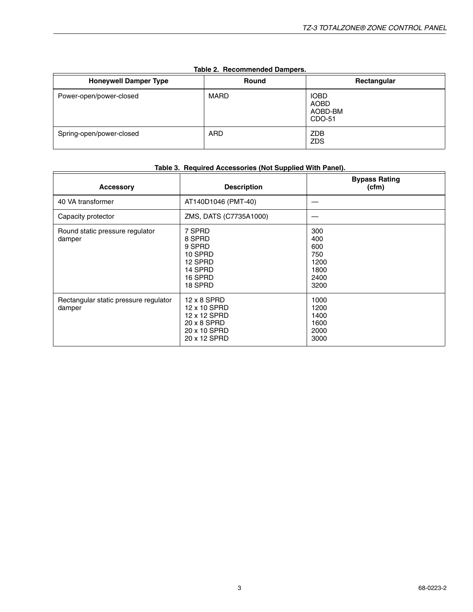| <b>Honeywell Damper Type</b> | Round      | Rectangular                              |
|------------------------------|------------|------------------------------------------|
| Power-open/power-closed      | MARD       | <b>IOBD</b><br>AOBD<br>AOBD-BM<br>CDO-51 |
| Spring-open/power-closed     | <b>ARD</b> | <b>ZDB</b><br><b>ZDS</b>                 |

| Table 2. Recommended Dampers. |  |
|-------------------------------|--|
|                               |  |

| Table 3. Required Accessories (Not Supplied With Panel). |                                                                                                   |                                                          |
|----------------------------------------------------------|---------------------------------------------------------------------------------------------------|----------------------------------------------------------|
| <b>Accessory</b>                                         | <b>Description</b>                                                                                | <b>Bypass Rating</b><br>(cfm)                            |
| 40 VA transformer                                        | AT140D1046 (PMT-40)                                                                               |                                                          |
| Capacity protector                                       | ZMS, DATS (C7735A1000)                                                                            |                                                          |
| Round static pressure regulator<br>damper                | 7 SPRD<br>8 SPRD<br>9 SPRD<br>10 SPRD<br>12 SPRD<br>14 SPRD<br>16 SPRD<br>18 SPRD                 | 300<br>400<br>600<br>750<br>1200<br>1800<br>2400<br>3200 |
| Rectangular static pressure regulator<br>damper          | $12 \times 8$ SPRD<br>12 x 10 SPRD<br>12 x 12 SPRD<br>20 x 8 SPRD<br>20 x 10 SPRD<br>20 x 12 SPRD | 1000<br>1200<br>1400<br>1600<br>2000<br>3000             |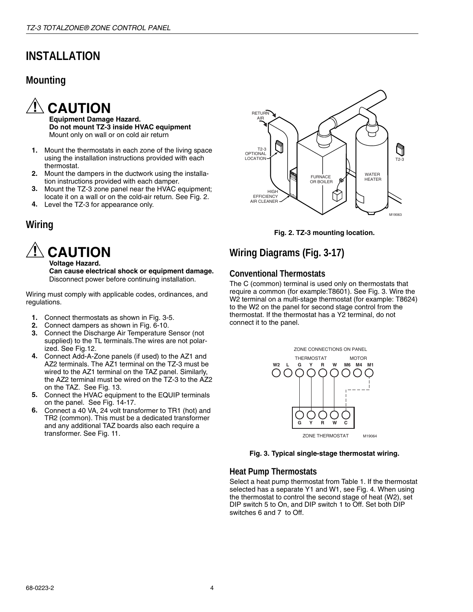# **INSTALLATION**

# **Mounting**

# **CAUTION**

**Equipment Damage Hazard. Do not mount TZ-3 inside HVAC equipment** Mount only on wall or on cold air return

- **1.** Mount the thermostats in each zone of the living space using the installation instructions provided with each thermostat.
- **2.** Mount the dampers in the ductwork using the installation instructions provided with each damper.
- **3.** Mount the TZ-3 zone panel near the HVAC equipment; locate it on a wall or on the cold-air return. See Fig. 2.
- **4.** Level the TZ-3 for appearance only.

# **Wiring**



**Can cause electrical shock or equipment damage.** Disconnect power before continuing installation.

Wiring must comply with applicable codes, ordinances, and regulations.

- **1.** Connect thermostats as shown in Fig. 3-5.
- **2.** Connect dampers as shown in Fig. 6-10.
- **3.** Connect the Discharge Air Temperature Sensor (not supplied) to the TL terminals.The wires are not polarized. See Fig.12.
- **4.** Connect Add-A-Zone panels (if used) to the AZ1 and AZ2 terminals. The AZ1 terminal on the TZ-3 must be wired to the AZ1 terminal on the TAZ panel. Similarly, the AZ2 terminal must be wired on the TZ-3 to the AZ2 on the TAZ. See Fig. 13.
- **5.** Connect the HVAC equipment to the EQUIP terminals on the panel. See Fig. 14-17.
- **6.** Connect a 40 VA, 24 volt transformer to TR1 (hot) and TR2 (common). This must be a dedicated transformer and any additional TAZ boards also each require a transformer. See Fig. 11.



**Fig. 2. TZ-3 mounting location.**

# **Wiring Diagrams (Fig. 3-17)**

### **Conventional Thermostats**

The C (common) terminal is used only on thermostats that require a common (for example:T8601). See Fig. 3. Wire the W2 terminal on a multi-stage thermostat (for example: T8624) to the W2 on the panel for second stage control from the thermostat. If the thermostat has a Y2 terminal, do not connect it to the panel.



**Fig. 3. Typical single-stage thermostat wiring.**

### **Heat Pump Thermostats**

Select a heat pump thermostat from Table 1. If the thermostat selected has a separate Y1 and W1, see Fig. 4. When using the thermostat to control the second stage of heat (W2), set DIP switch 5 to On, and DIP switch 1 to Off. Set both DIP switches 6 and 7 to Off.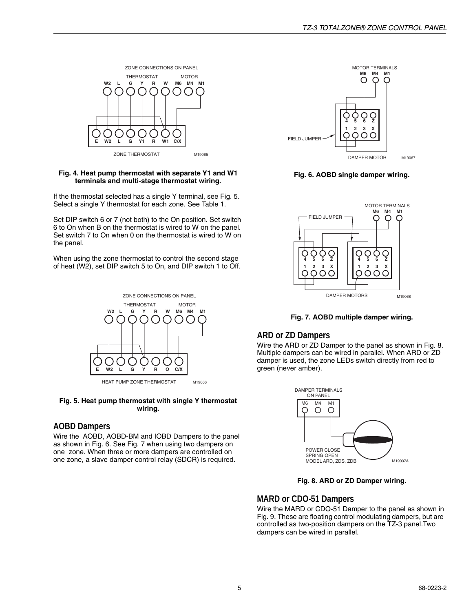

#### **Fig. 4. Heat pump thermostat with separate Y1 and W1 terminals and multi-stage thermostat wiring.**

If the thermostat selected has a single Y terminal, see Fig. 5. Select a single Y thermostat for each zone. See Table 1.

Set DIP switch 6 or 7 (not both) to the On position. Set switch 6 to On when B on the thermostat is wired to W on the panel. Set switch 7 to On when 0 on the thermostat is wired to W on the panel.

When using the zone thermostat to control the second stage of heat (W2), set DIP switch 5 to On, and DIP switch 1 to Off.



HEAT PUMP ZONE THERMOSTAT M19066



### **AOBD Dampers**

Wire the AOBD, AOBD-BM and IOBD Dampers to the panel as shown in Fig. 6. See Fig. 7 when using two dampers on one zone. When three or more dampers are controlled on one zone, a slave damper control relay (SDCR) is required.



**Fig. 6. AOBD single damper wiring.**



**Fig. 7. AOBD multiple damper wiring.**

### **ARD or ZD Dampers**

Wire the ARD or ZD Damper to the panel as shown in Fig. 8. Multiple dampers can be wired in parallel. When ARD or ZD damper is used, the zone LEDs switch directly from red to green (never amber).



**Fig. 8. ARD or ZD Damper wiring.**

### **MARD or CDO-51 Dampers**

Wire the MARD or CDO-51 Damper to the panel as shown in Fig. 9. These are floating control modulating dampers, but are controlled as two-position dampers on the TZ-3 panel.Two dampers can be wired in parallel.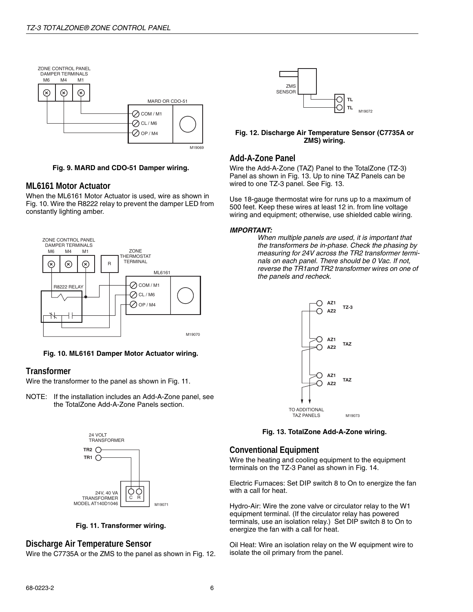

### **Fig. 9. MARD and CDO-51 Damper wiring.**

### **ML6161 Motor Actuator**

When the ML6161 Motor Actuator is used, wire as shown in Fig. 10. Wire the R8222 relay to prevent the damper LED from constantly lighting amber.



### **Fig. 10. ML6161 Damper Motor Actuator wiring.**

### **Transformer**

Wire the transformer to the panel as shown in Fig. 11.

NOTE: If the installation includes an Add-A-Zone panel, see the TotalZone Add-A-Zone Panels section.



**Fig. 11. Transformer wiring.**

### **Discharge Air Temperature Sensor**

Wire the C7735A or the ZMS to the panel as shown in Fig. 12.



### **Fig. 12. Discharge Air Temperature Sensor (C7735A or ZMS) wiring.**

### **Add-A-Zone Panel**

Wire the Add-A-Zone (TAZ) Panel to the TotalZone (TZ-3) Panel as shown in Fig. 13. Up to nine TAZ Panels can be wired to one TZ-3 panel. See Fig. 13.

Use 18-gauge thermostat wire for runs up to a maximum of 500 feet. Keep these wires at least 12 in. from line voltage wiring and equipment; otherwise, use shielded cable wiring.

### **IMPORTANT:**

When multiple panels are used, it is important that the transformers be in-phase. Check the phasing by measuring for 24V across the TR2 transformer terminals on each panel. There should be 0 Vac. If not, reverse the TR1and TR2 transformer wires on one of the panels and recheck.



**Fig. 13. TotalZone Add-A-Zone wiring.**

### **Conventional Equipment**

Wire the heating and cooling equipment to the equipment terminals on the TZ-3 Panel as shown in Fig. 14.

Electric Furnaces: Set DIP switch 8 to On to energize the fan with a call for heat.

Hydro-Air: Wire the zone valve or circulator relay to the W1 equipment terminal. (If the circulator relay has powered terminals, use an isolation relay.) Set DIP switch 8 to On to energize the fan with a call for heat.

Oil Heat: Wire an isolation relay on the W equipment wire to isolate the oil primary from the panel.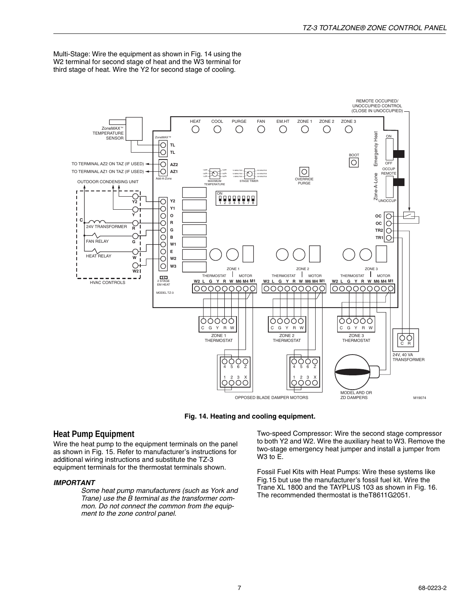#### Multi-Stage: Wire the equipment as shown in Fig. 14 using the W2 terminal for second stage of heat and the W3 terminal for third stage of heat. Wire the Y2 for second stage of cooling.





### **Heat Pump Equipment**

Wire the heat pump to the equipment terminals on the panel as shown in Fig. 15. Refer to manufacturer's instructions for additional wiring instructions and substitute the TZ-3 equipment terminals for the thermostat terminals shown.

### **IMPORTANT**

Some heat pump manufacturers (such as York and Trane) use the B terminal as the transformer common. Do not connect the common from the equipment to the zone control panel.

Two-speed Compressor: Wire the second stage compressor to both Y2 and W2. Wire the auxiliary heat to W3. Remove the two-stage emergency heat jumper and install a jumper from W3 to E.

Fossil Fuel Kits with Heat Pumps: Wire these systems like Fig.15 but use the manufacturer's fossil fuel kit. Wire the Trane XL 1800 and the TAYPLUS 103 as shown in Fig. 16. The recommended thermostat is theT8611G2051.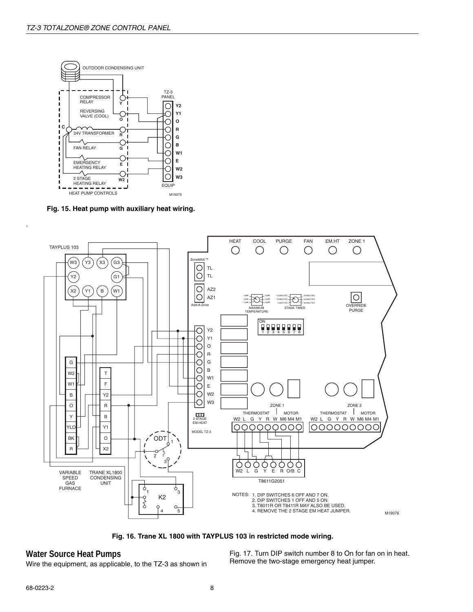

**Fig. 15. Heat pump with auxiliary heat wiring.**



**Fig. 16. Trane XL 1800 with TAYPLUS 103 in restricted mode wiring.**

### **Water Source Heat Pumps**

Wire the equipment, as applicable, to the TZ-3 as shown in

Fig. 17. Turn DIP switch number 8 to On for fan on in heat. Remove the two-stage emergency heat jumper.

.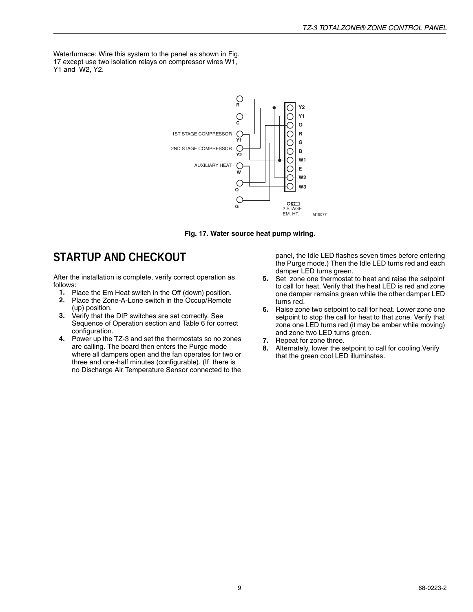Waterfurnace: Wire this system to the panel as shown in Fig. 17 except use two isolation relays on compressor wires W1, Y1 and W2, Y2.





# **STARTUP AND CHECKOUT**

After the installation is complete, verify correct operation as follows:

- **1.** Place the Em Heat switch in the Off (down) position.
- **2.** Place the Zone-A-Lone switch in the Occup/Remote (up) position.
- **3.** Verify that the DIP switches are set correctly. See Sequence of Operation section and Table 6 for correct configuration.
- **4.** Power up the TZ-3 and set the thermostats so no zones are calling. The board then enters the Purge mode where all dampers open and the fan operates for two or three and one-half minutes (configurable). (If there is no Discharge Air Temperature Sensor connected to the

panel, the Idle LED flashes seven times before entering the Purge mode.) Then the Idle LED turns red and each damper LED turns green.

- **5.** Set zone one thermostat to heat and raise the setpoint to call for heat. Verify that the heat LED is red and zone one damper remains green while the other damper LED turns red.
- **6.** Raise zone two setpoint to call for heat. Lower zone one setpoint to stop the call for heat to that zone. Verify that zone one LED turns red (it may be amber while moving) and zone two LED turns green.
- **7.** Repeat for zone three.
- **8.** Alternately, lower the setpoint to call for cooling.Verify that the green cool LED illuminates.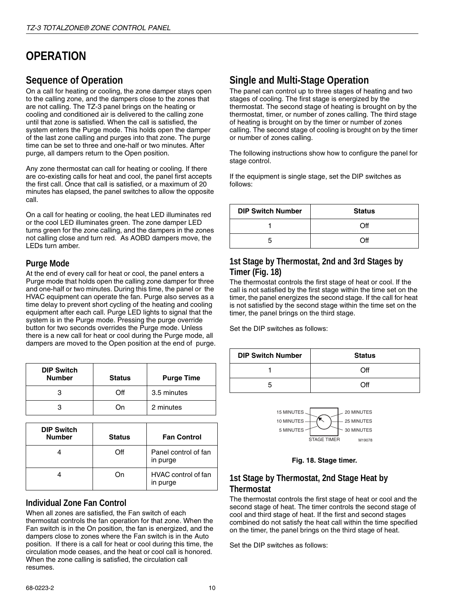# **OPERATION**

# **Sequence of Operation**

On a call for heating or cooling, the zone damper stays open to the calling zone, and the dampers close to the zones that are not calling. The TZ-3 panel brings on the heating or cooling and conditioned air is delivered to the calling zone until that zone is satisfied. When the call is satisfied, the system enters the Purge mode. This holds open the damper of the last zone calling and purges into that zone. The purge time can be set to three and one-half or two minutes. After purge, all dampers return to the Open position.

Any zone thermostat can call for heating or cooling. If there are co-existing calls for heat and cool, the panel first accepts the first call. Once that call is satisfied, or a maximum of 20 minutes has elapsed, the panel switches to allow the opposite call.

On a call for heating or cooling, the heat LED illuminates red or the cool LED illuminates green. The zone damper LED turns green for the zone calling, and the dampers in the zones not calling close and turn red. As AOBD dampers move, the LEDs turn amber.

### **Purge Mode**

At the end of every call for heat or cool, the panel enters a Purge mode that holds open the calling zone damper for three and one-half or two minutes. During this time, the panel or the HVAC equipment can operate the fan. Purge also serves as a time delay to prevent short cycling of the heating and cooling equipment after each call. Purge LED lights to signal that the system is in the Purge mode. Pressing the purge override button for two seconds overrides the Purge mode. Unless there is a new call for heat or cool during the Purge mode, all dampers are moved to the Open position at the end of purge.

| <b>DIP Switch</b><br><b>Number</b> | <b>Status</b> | <b>Purge Time</b> |
|------------------------------------|---------------|-------------------|
|                                    | Off           | 3.5 minutes       |
|                                    | ()n           | 2 minutes         |

| <b>DIP Switch</b><br><b>Number</b> | <b>Status</b> | <b>Fan Control</b>               |
|------------------------------------|---------------|----------------------------------|
|                                    | Off           | Panel control of fan<br>in purge |
|                                    | Οn            | HVAC control of fan<br>in purge  |

### **Individual Zone Fan Control**

When all zones are satisfied, the Fan switch of each thermostat controls the fan operation for that zone. When the Fan switch is in the On position, the fan is energized, and the dampers close to zones where the Fan switch is in the Auto position. If there is a call for heat or cool during this time, the circulation mode ceases, and the heat or cool call is honored. When the zone calling is satisfied, the circulation call resumes.

# **Single and Multi-Stage Operation**

The panel can control up to three stages of heating and two stages of cooling. The first stage is energized by the thermostat. The second stage of heating is brought on by the thermostat, timer, or number of zones calling. The third stage of heating is brought on by the timer or number of zones calling. The second stage of cooling is brought on by the timer or number of zones calling.

The following instructions show how to configure the panel for stage control.

If the equipment is single stage, set the DIP switches as follows:

| <b>DIP Switch Number</b> | <b>Status</b> |
|--------------------------|---------------|
|                          | ∩ff           |
|                          | าff           |

### **1st Stage by Thermostat, 2nd and 3rd Stages by Timer (Fig. 18)**

The thermostat controls the first stage of heat or cool. If the call is not satisfied by the first stage within the time set on the timer, the panel energizes the second stage. If the call for heat is not satisfied by the second stage within the time set on the timer, the panel brings on the third stage.

Set the DIP switches as follows:

| <b>DIP Switch Number</b> | <b>Status</b> |
|--------------------------|---------------|
|                          | Ωff           |
|                          | ገዙ            |





### **1st Stage by Thermostat, 2nd Stage Heat by Thermostat**

The thermostat controls the first stage of heat or cool and the second stage of heat. The timer controls the second stage of cool and third stage of heat. If the first and second stages combined do not satisfy the heat call within the time specified on the timer, the panel brings on the third stage of heat.

Set the DIP switches as follows: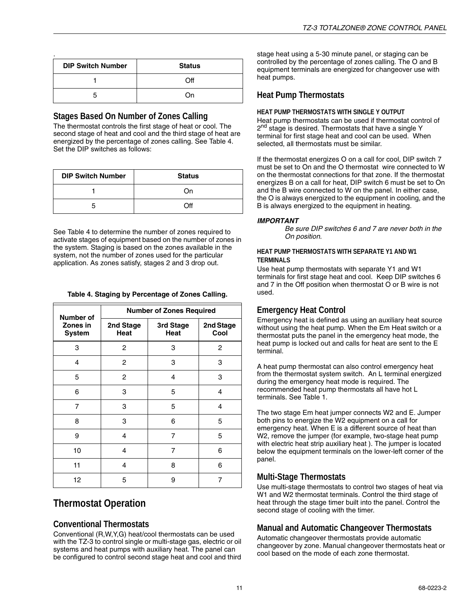| <b>DIP Switch Number</b> | <b>Status</b> |
|--------------------------|---------------|
|                          | Off           |
|                          | On            |

### **Stages Based On Number of Zones Calling**

The thermostat controls the first stage of heat or cool. The second stage of heat and cool and the third stage of heat are energized by the percentage of zones calling. See Table 4. Set the DIP switches as follows:

| <b>DIP Switch Number</b> | <b>Status</b> |
|--------------------------|---------------|
|                          | On            |
|                          | ∩ff           |

See Table 4 to determine the number of zones required to activate stages of equipment based on the number of zones in the system. Staging is based on the zones available in the system, not the number of zones used for the particular application. As zones satisfy, stages 2 and 3 drop out.

### **Table 4. Staging by Percentage of Zones Calling.**

| Number of                 | <b>Number of Zones Required</b> |                   |                   |
|---------------------------|---------------------------------|-------------------|-------------------|
| Zones in<br><b>System</b> | 2nd Stage<br><b>Heat</b>        | 3rd Stage<br>Heat | 2nd Stage<br>Cool |
| 3                         | 2                               | 3                 | 2                 |
| 4                         | 2                               | 3                 | 3                 |
| 5                         | $\overline{c}$                  | 4                 | 3                 |
| 6                         | 3                               | 5                 | 4                 |
| $\overline{7}$            | 3                               | 5                 | 4                 |
| 8                         | 3                               | 6                 | 5                 |
| 9                         | 4                               | 7                 | 5                 |
| 10                        | 4                               | 7                 | 6                 |
| 11                        | 4                               | 8                 | 6                 |
| 12                        | 5                               | 9                 | 7                 |

# **Thermostat Operation**

### **Conventional Thermostats**

Conventional (R,W,Y,G) heat/cool thermostats can be used with the TZ-3 to control single or multi-stage gas, electric or oil systems and heat pumps with auxiliary heat. The panel can be configured to control second stage heat and cool and third stage heat using a 5-30 minute panel, or staging can be controlled by the percentage of zones calling. The O and B equipment terminals are energized for changeover use with heat pumps.

### **Heat Pump Thermostats**

### **HEAT PUMP THERMOSTATS WITH SINGLE Y OUTPUT**

Heat pump thermostats can be used if thermostat control of 2<sup>nd</sup> stage is desired. Thermostats that have a single Y terminal for first stage heat and cool can be used. When selected, all thermostats must be similar.

If the thermostat energizes O on a call for cool, DIP switch 7 must be set to On and the O thermostat wire connected to W on the thermostat connections for that zone. If the thermostat energizes B on a call for heat, DIP switch 6 must be set to On and the B wire connected to W on the panel. In either case, the O is always energized to the equipment in cooling, and the B is always energized to the equipment in heating.

### **IMPORTANT**

Be sure DIP switches 6 and 7 are never both in the On position.

#### **HEAT PUMP THERMOSTATS WITH SEPARATE Y1 AND W1 TERMINALS**

Use heat pump thermostats with separate Y1 and W1 terminals for first stage heat and cool. Keep DIP switches 6 and 7 in the Off position when thermostat O or B wire is not used.

### **Emergency Heat Control**

Emergency heat is defined as using an auxiliary heat source without using the heat pump. When the Em Heat switch or a thermostat puts the panel in the emergency heat mode, the heat pump is locked out and calls for heat are sent to the E terminal.

A heat pump thermostat can also control emergency heat from the thermostat system switch. An L terminal energized during the emergency heat mode is required. The recommended heat pump thermostats all have hot L terminals. See Table 1.

The two stage Em heat jumper connects W2 and E. Jumper both pins to energize the W2 equipment on a call for emergency heat. When E is a different source of heat than W2, remove the jumper (for example, two-stage heat pump with electric heat strip auxiliary heat ). The jumper is located below the equipment terminals on the lower-left corner of the panel.

### **Multi-Stage Thermostats**

Use multi-stage thermostats to control two stages of heat via W1 and W2 thermostat terminals. Control the third stage of heat through the stage timer built into the panel. Control the second stage of cooling with the timer.

### **Manual and Automatic Changeover Thermostats**

Automatic changeover thermostats provide automatic changeover by zone. Manual changeover thermostats heat or cool based on the mode of each zone thermostat.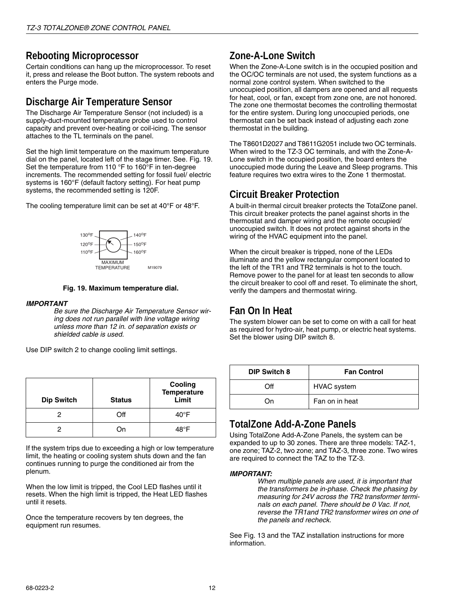### **Rebooting Microprocessor**

Certain conditions can hang up the microprocessor. To reset it, press and release the Boot button. The system reboots and enters the Purge mode.

### **Discharge Air Temperature Sensor**

The Discharge Air Temperature Sensor (not included) is a supply-duct-mounted temperature probe used to control capacity and prevent over-heating or coil-icing. The sensor attaches to the TL terminals on the panel.

Set the high limit temperature on the maximum temperature dial on the panel, located left of the stage timer. See. Fig. 19. Set the temperature from 110 °F to 160°F in ten-degree increments. The recommended setting for fossil fuel/ electric systems is 160°F (default factory setting). For heat pump systems, the recommended setting is 120F.

The cooling temperature limit can be set at 40°F or 48°F.





### **IMPORTANT**

Be sure the Discharge Air Temperature Sensor wiring does not run parallel with line voltage wiring unless more than 12 in. of separation exists or shielded cable is used.

Use DIP switch 2 to change cooling limit settings.

| <b>Dip Switch</b> | <b>Status</b> | Cooling<br><b>Temperature</b><br>Limit |
|-------------------|---------------|----------------------------------------|
|                   | Off           | $40^{\circ}$ F                         |
|                   |               | 48°F                                   |

If the system trips due to exceeding a high or low temperature limit, the heating or cooling system shuts down and the fan continues running to purge the conditioned air from the plenum.

When the low limit is tripped, the Cool LED flashes until it resets. When the high limit is tripped, the Heat LED flashes until it resets.

Once the temperature recovers by ten degrees, the equipment run resumes.

### **Zone-A-Lone Switch**

When the Zone-A-Lone switch is in the occupied position and the OC/OC terminals are not used, the system functions as a normal zone control system. When switched to the unoccupied position, all dampers are opened and all requests for heat, cool, or fan, except from zone one, are not honored. The zone one thermostat becomes the controlling thermostat for the entire system. During long unoccupied periods, one thermostat can be set back instead of adjusting each zone thermostat in the building.

The T8601D2027 and T8611G2051 include two OC terminals. When wired to the TZ-3 OC terminals, and with the Zone-A-Lone switch in the occupied position, the board enters the unoccupied mode during the Leave and Sleep programs. This feature requires two extra wires to the Zone 1 thermostat.

# **Circuit Breaker Protection**

A built-in thermal circuit breaker protects the TotalZone panel. This circuit breaker protects the panel against shorts in the thermostat and damper wiring and the remote occupied/ unoccupied switch. It does not protect against shorts in the wiring of the HVAC equipment into the panel.

When the circuit breaker is tripped, none of the LEDs illuminate and the yellow rectangular component located to the left of the TR1 and TR2 terminals is hot to the touch. Remove power to the panel for at least ten seconds to allow the circuit breaker to cool off and reset. To eliminate the short, verify the dampers and thermostat wiring.

### **Fan On In Heat**

The system blower can be set to come on with a call for heat as required for hydro-air, heat pump, or electric heat systems. Set the blower using DIP switch 8.

| <b>DIP Switch 8</b> | <b>Fan Control</b> |
|---------------------|--------------------|
| Ωff                 | <b>HVAC</b> system |
| On                  | Fan on in heat     |

# **TotalZone Add-A-Zone Panels**

Using TotalZone Add-A-Zone Panels, the system can be expanded to up to 30 zones. There are three models: TAZ-1, one zone; TAZ-2, two zone; and TAZ-3, three zone. Two wires are required to connect the TAZ to the TZ-3.

### **IMPORTANT:**

When multiple panels are used, it is important that the transformers be in-phase. Check the phasing by measuring for 24V across the TR2 transformer terminals on each panel. There should be 0 Vac. If not, reverse the TR1and TR2 transformer wires on one of the panels and recheck.

See Fig. 13 and the TAZ installation instructions for more information.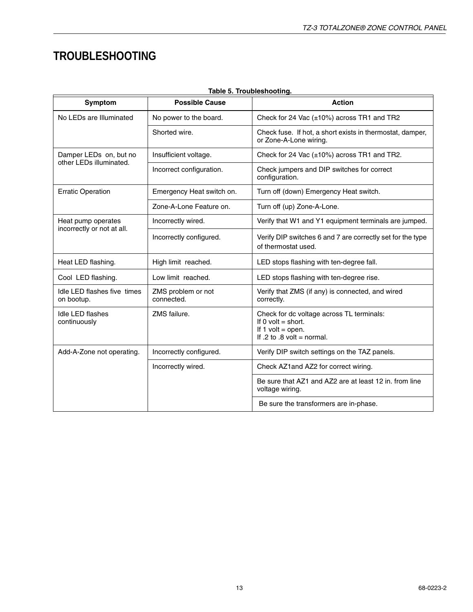# **TROUBLESHOOTING**

| Symptom                                           | <b>Possible Cause</b>            | <b>Action</b>                                                                                                            |  |
|---------------------------------------------------|----------------------------------|--------------------------------------------------------------------------------------------------------------------------|--|
| No LEDs are Illuminated                           | No power to the board.           | Check for 24 Vac (±10%) across TR1 and TR2                                                                               |  |
|                                                   | Shorted wire.                    | Check fuse. If hot, a short exists in thermostat, damper,<br>or Zone-A-Lone wiring.                                      |  |
| Damper LEDs on, but no<br>other LEDs illuminated. | Insufficient voltage.            | Check for 24 Vac (±10%) across TR1 and TR2.                                                                              |  |
|                                                   | Incorrect configuration.         | Check jumpers and DIP switches for correct<br>configuration.                                                             |  |
| <b>Erratic Operation</b>                          | Emergency Heat switch on.        | Turn off (down) Emergency Heat switch.                                                                                   |  |
|                                                   | Zone-A-Lone Feature on.          | Turn off (up) Zone-A-Lone.                                                                                               |  |
| Heat pump operates                                | Incorrectly wired.               | Verify that W1 and Y1 equipment terminals are jumped.                                                                    |  |
| incorrectly or not at all.                        | Incorrectly configured.          | Verify DIP switches 6 and 7 are correctly set for the type<br>of thermostat used.                                        |  |
| Heat LED flashing.                                | High limit reached.              | LED stops flashing with ten-degree fall.                                                                                 |  |
| Cool LED flashing.                                | Low limit reached.               | LED stops flashing with ten-degree rise.                                                                                 |  |
| Idle LED flashes five times<br>on bootup.         | ZMS problem or not<br>connected. | Verify that ZMS (if any) is connected, and wired<br>correctly.                                                           |  |
| <b>Idle LED flashes</b><br>continuously           | ZMS failure.                     | Check for dc voltage across TL terminals:<br>If $0$ volt = short.<br>If 1 volt = open.<br>If $.2$ to $.8$ volt = normal. |  |
| Add-A-Zone not operating.                         | Incorrectly configured.          | Verify DIP switch settings on the TAZ panels.                                                                            |  |
|                                                   | Incorrectly wired.               | Check AZ1and AZ2 for correct wiring.                                                                                     |  |
|                                                   |                                  | Be sure that AZ1 and AZ2 are at least 12 in. from line<br>voltage wiring.                                                |  |
|                                                   |                                  | Be sure the transformers are in-phase.                                                                                   |  |

### **Table 5. Troubleshooting.**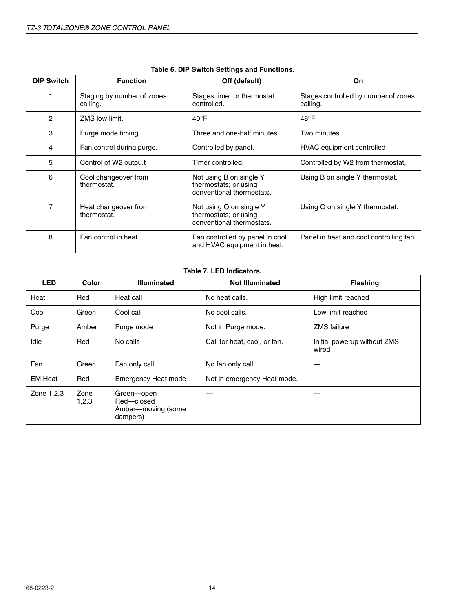| <b>DIP Switch</b> | <b>Function</b>                        | Off (default)                                                                 | On                                               |
|-------------------|----------------------------------------|-------------------------------------------------------------------------------|--------------------------------------------------|
|                   | Staging by number of zones<br>calling. | Stages timer or thermostat<br>controlled.                                     | Stages controlled by number of zones<br>calling. |
| 2                 | ZMS low limit.                         | $40^{\circ}$ F                                                                | $48^{\circ}$ F                                   |
| 3                 | Purge mode timing.                     | Three and one-half minutes.                                                   | Two minutes.                                     |
| 4                 | Fan control during purge.              | Controlled by panel.                                                          | HVAC equipment controlled                        |
| 5                 | Control of W2 outpu.t                  | Timer controlled.                                                             | Controlled by W2 from thermostat,                |
| 6                 | Cool changeover from<br>thermostat.    | Not using B on single Y<br>thermostats; or using<br>conventional thermostats. | Using B on single Y thermostat.                  |
| 7                 | Heat changeover from<br>thermostat.    | Not using O on single Y<br>thermostats; or using<br>conventional thermostats. | Using O on single Y thermostat.                  |
| 8                 | Fan control in heat.                   | Fan controlled by panel in cool<br>and HVAC equipment in heat.                | Panel in heat and cool controlling fan.          |

|  |  | Table 6. DIP Switch Settings and Functions. |
|--|--|---------------------------------------------|
|  |  |                                             |

### **Table 7. LED Indicators.**

| <b>LED</b> | Color         | <b>Illuminated</b>                                         | <b>Not Illuminated</b>       | <b>Flashing</b>                      |
|------------|---------------|------------------------------------------------------------|------------------------------|--------------------------------------|
| Heat       | Red           | Heat call                                                  | No heat calls.               | High limit reached                   |
| Cool       | Green         | Cool call                                                  | No cool calls.               | Low limit reached                    |
| Purge      | Amber         | Purge mode                                                 | Not in Purge mode.           | ZMS failure                          |
| Idle       | Red           | No calls                                                   | Call for heat, cool, or fan. | Initial powerup without ZMS<br>wired |
| Fan        | Green         | Fan only call                                              | No fan only call.            |                                      |
| EM Heat    | Red           | <b>Emergency Heat mode</b>                                 | Not in emergency Heat mode.  |                                      |
| Zone 1,2,3 | Zone<br>1,2,3 | Green-open<br>Red-closed<br>Amber-moving (some<br>dampers) |                              |                                      |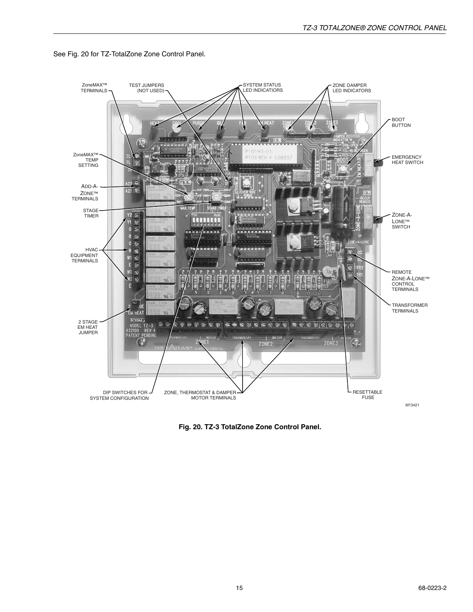

See Fig. 20 for TZ-TotalZone Zone Control Panel.

**Fig. 20. TZ-3 TotalZone Zone Control Panel.**